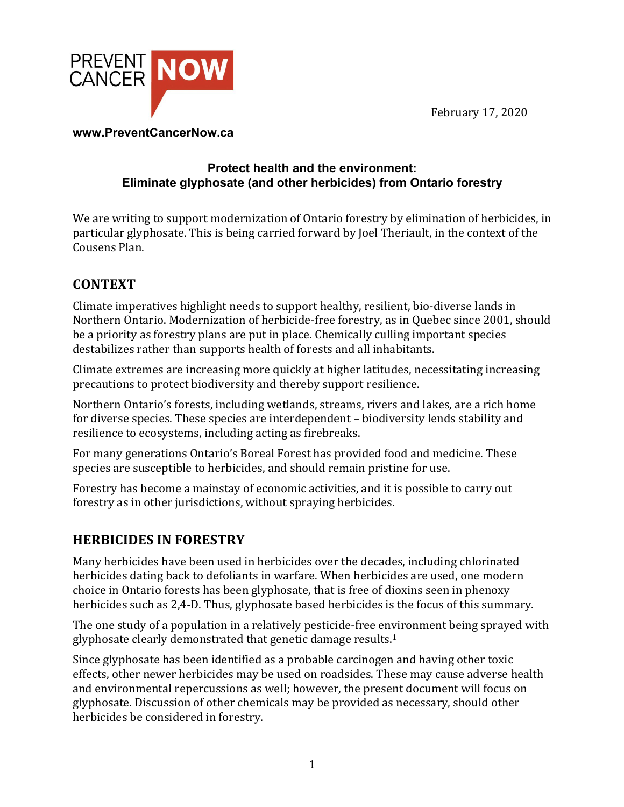February 17, 2020



#### **www.PreventCancerNow.ca**

#### **Protect health and the environment: Eliminate glyphosate (and other herbicides) from Ontario forestry**

We are writing to support modernization of Ontario forestry by elimination of herbicides, in particular glyphosate. This is being carried forward by Joel Theriault, in the context of the Cousens Plan.

# **CONTEXT**

Climate imperatives highlight needs to support healthy, resilient, bio-diverse lands in Northern Ontario. Modernization of herbicide-free forestry, as in Ouebec since 2001, should be a priority as forestry plans are put in place. Chemically culling important species destabilizes rather than supports health of forests and all inhabitants.

Climate extremes are increasing more quickly at higher latitudes, necessitating increasing precautions to protect biodiversity and thereby support resilience.

Northern Ontario's forests, including wetlands, streams, rivers and lakes, are a rich home for diverse species. These species are interdependent – biodiversity lends stability and resilience to ecosystems, including acting as firebreaks.

For many generations Ontario's Boreal Forest has provided food and medicine. These species are susceptible to herbicides, and should remain pristine for use.

Forestry has become a mainstay of economic activities, and it is possible to carry out forestry as in other jurisdictions, without spraying herbicides.

# **HERBICIDES IN FORESTRY**

Many herbicides have been used in herbicides over the decades, including chlorinated herbicides dating back to defoliants in warfare. When herbicides are used, one modern choice in Ontario forests has been glyphosate, that is free of dioxins seen in phenoxy herbicides such as 2,4-D. Thus, glyphosate based herbicides is the focus of this summary.

The one study of a population in a relatively pesticide-free environment being sprayed with glyphosate clearly demonstrated that genetic damage results.<sup>1</sup>

Since glyphosate has been identified as a probable carcinogen and having other toxic effects, other newer herbicides may be used on roadsides. These may cause adverse health and environmental repercussions as well; however, the present document will focus on glyphosate. Discussion of other chemicals may be provided as necessary, should other herbicides be considered in forestry.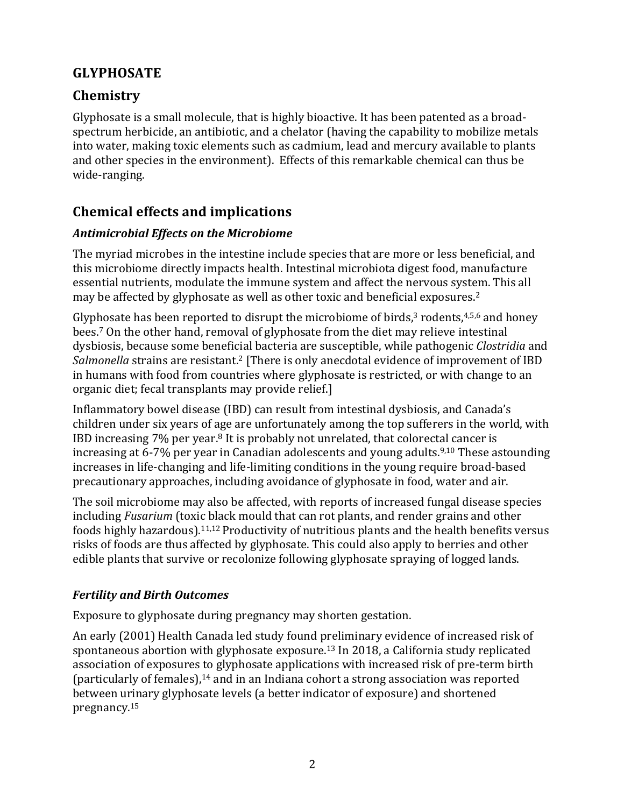## **GLYPHOSATE**

## **Chemistry**

Glyphosate is a small molecule, that is highly bioactive. It has been patented as a broadspectrum herbicide, an antibiotic, and a chelator (having the capability to mobilize metals into water, making toxic elements such as cadmium, lead and mercury available to plants and other species in the environment). Effects of this remarkable chemical can thus be wide-ranging.

# **Chemical effects and implications**

### *Antimicrobial Effects on the Microbiome*

The myriad microbes in the intestine include species that are more or less beneficial, and this microbiome directly impacts health. Intestinal microbiota digest food, manufacture essential nutrients, modulate the immune system and affect the nervous system. This all may be affected by glyphosate as well as other toxic and beneficial exposures.<sup>2</sup>

Glyphosate has been reported to disrupt the microbiome of birds, $3$  rodents, $4,5,6$  and honey bees.<sup>7</sup> On the other hand, removal of glyphosate from the diet may relieve intestinal dysbiosis, because some beneficial bacteria are susceptible, while pathogenic *Clostridia* and Salmonella strains are resistant.<sup>2</sup> [There is only anecdotal evidence of improvement of IBD in humans with food from countries where glyphosate is restricted, or with change to an organic diet; fecal transplants may provide relief.]

Inflammatory bowel disease (IBD) can result from intestinal dysbiosis, and Canada's children under six years of age are unfortunately among the top sufferers in the world, with IBD increasing  $7\%$  per year.<sup>8</sup> It is probably not unrelated, that colorectal cancer is increasing at 6-7% per year in Canadian adolescents and young adults.<sup>9,10</sup> These astounding increases in life-changing and life-limiting conditions in the young require broad-based precautionary approaches, including avoidance of glyphosate in food, water and air.

The soil microbiome may also be affected, with reports of increased fungal disease species including *Fusarium* (toxic black mould that can rot plants, and render grains and other foods highly hazardous).<sup>11,12</sup> Productivity of nutritious plants and the health benefits versus risks of foods are thus affected by glyphosate. This could also apply to berries and other edible plants that survive or recolonize following glyphosate spraying of logged lands.

### *Fertility and Birth Outcomes*

Exposure to glyphosate during pregnancy may shorten gestation.

An early (2001) Health Canada led study found preliminary evidence of increased risk of spontaneous abortion with glyphosate exposure.<sup>13</sup> In 2018, a California study replicated association of exposures to glyphosate applications with increased risk of pre-term birth (particularly of females), $14$  and in an Indiana cohort a strong association was reported between urinary glyphosate levels (a better indicator of exposure) and shortened pregnancy.15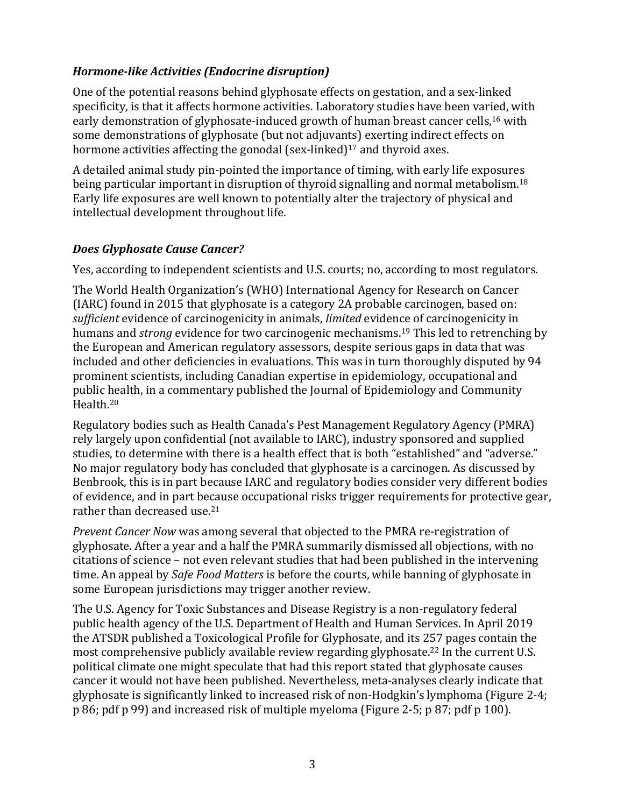### *Hormone-like Activities (Endocrine disruption)*

One of the potential reasons behind glyphosate effects on gestation, and a sex-linked specificity, is that it affects hormone activities. Laboratory studies have been varied, with early demonstration of glyphosate-induced growth of human breast cancer cells,<sup>16</sup> with some demonstrations of glyphosate (but not adjuvants) exerting indirect effects on hormone activities affecting the gonodal  $(sex\text{-linked})^{17}$  and thyroid axes.

A detailed animal study pin-pointed the importance of timing, with early life exposures being particular important in disruption of thyroid signalling and normal metabolism.<sup>18</sup> Early life exposures are well known to potentially alter the trajectory of physical and intellectual development throughout life.

### *Does Glyphosate Cause Cancer?*

Yes, according to independent scientists and U.S. courts; no, according to most regulators.

The World Health Organization's (WHO) International Agency for Research on Cancer  $(IARC)$  found in 2015 that glyphosate is a category 2A probable carcinogen, based on: *sufficient* evidence of carcinogenicity in animals, *limited* evidence of carcinogenicity in humans and *strong* evidence for two carcinogenic mechanisms.<sup>19</sup> This led to retrenching by the European and American regulatory assessors, despite serious gaps in data that was included and other deficiencies in evaluations. This was in turn thoroughly disputed by 94 prominent scientists, including Canadian expertise in epidemiology, occupational and public health, in a commentary published the Journal of Epidemiology and Community Health. 20

Regulatory bodies such as Health Canada's Pest Management Regulatory Agency (PMRA) rely largely upon confidential (not available to IARC), industry sponsored and supplied studies, to determine with there is a health effect that is both "established" and "adverse." No major regulatory body has concluded that glyphosate is a carcinogen. As discussed by Benbrook, this is in part because IARC and regulatory bodies consider very different bodies of evidence, and in part because occupational risks trigger requirements for protective gear, rather than decreased use. $21$ 

*Prevent Cancer Now* was among several that objected to the PMRA re-registration of glyphosate. After a year and a half the PMRA summarily dismissed all objections, with no citations of science - not even relevant studies that had been published in the intervening time. An appeal by *Safe Food Matters* is before the courts, while banning of glyphosate in some European jurisdictions may trigger another review.

The U.S. Agency for Toxic Substances and Disease Registry is a non-regulatory federal public health agency of the U.S. Department of Health and Human Services. In April 2019 the ATSDR published a Toxicological Profile for Glyphosate, and its 257 pages contain the most comprehensive publicly available review regarding glyphosate.<sup>22</sup> In the current U.S. political climate one might speculate that had this report stated that glyphosate causes cancer it would not have been published. Nevertheless, meta-analyses clearly indicate that glyphosate is significantly linked to increased risk of non-Hodgkin's lymphoma (Figure 2-4; p 86; pdf p 99) and increased risk of multiple myeloma (Figure 2-5; p 87; pdf p 100).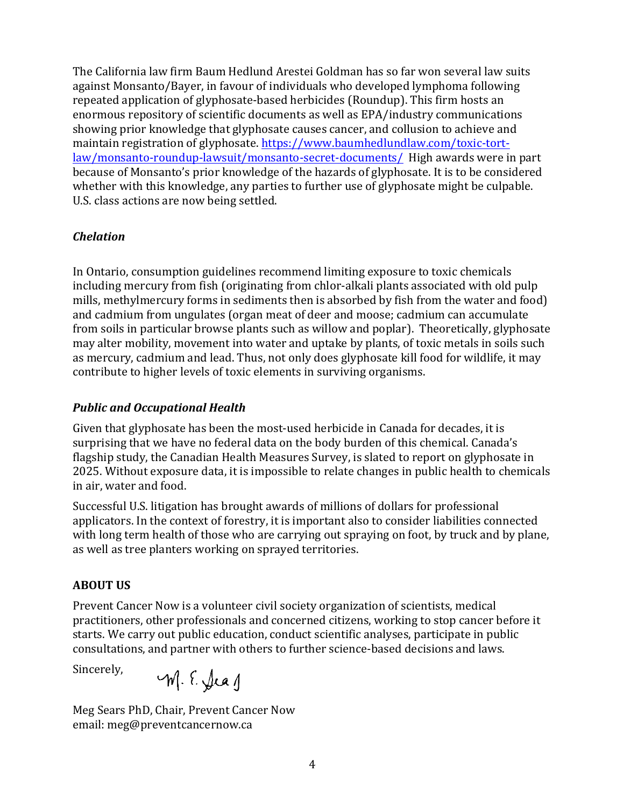The California law firm Baum Hedlund Arestei Goldman has so far won several law suits against Monsanto/Bayer, in fayour of individuals who developed lymphoma following repeated application of glyphosate-based herbicides (Roundup). This firm hosts an enormous repository of scientific documents as well as EPA/industry communications showing prior knowledge that glyphosate causes cancer, and collusion to achieve and maintain registration of glyphosate. https://www.baumhedlundlaw.com/toxic-tortlaw/monsanto-roundup-lawsuit/monsanto-secret-documents/ High awards were in part because of Monsanto's prior knowledge of the hazards of glyphosate. It is to be considered whether with this knowledge, any parties to further use of glyphosate might be culpable. U.S. class actions are now being settled.

### *Chelation*

In Ontario, consumption guidelines recommend limiting exposure to toxic chemicals including mercury from fish (originating from chlor-alkali plants associated with old pulp mills, methylmercury forms in sediments then is absorbed by fish from the water and food) and cadmium from ungulates (organ meat of deer and moose; cadmium can accumulate from soils in particular browse plants such as willow and poplar). Theoretically, glyphosate may alter mobility, movement into water and uptake by plants, of toxic metals in soils such as mercury, cadmium and lead. Thus, not only does glyphosate kill food for wildlife, it may contribute to higher levels of toxic elements in surviving organisms.

### *Public and Occupational Health*

Given that glyphosate has been the most-used herbicide in Canada for decades, it is surprising that we have no federal data on the body burden of this chemical. Canada's flagship study, the Canadian Health Measures Survey, is slated to report on glyphosate in 2025. Without exposure data, it is impossible to relate changes in public health to chemicals in air, water and food.

Successful U.S. litigation has brought awards of millions of dollars for professional applicators. In the context of forestry, it is important also to consider liabilities connected with long term health of those who are carrying out spraying on foot, by truck and by plane, as well as tree planters working on sprayed territories.

### **ABOUT US**

Prevent Cancer Now is a volunteer civil society organization of scientists, medical practitioners, other professionals and concerned citizens, working to stop cancer before it starts. We carry out public education, conduct scientific analyses, participate in public consultations, and partner with others to further science-based decisions and laws.

Sincerely,

Meg Sears PhD, Chair, Prevent Cancer Now email: meg@preventcancernow.ca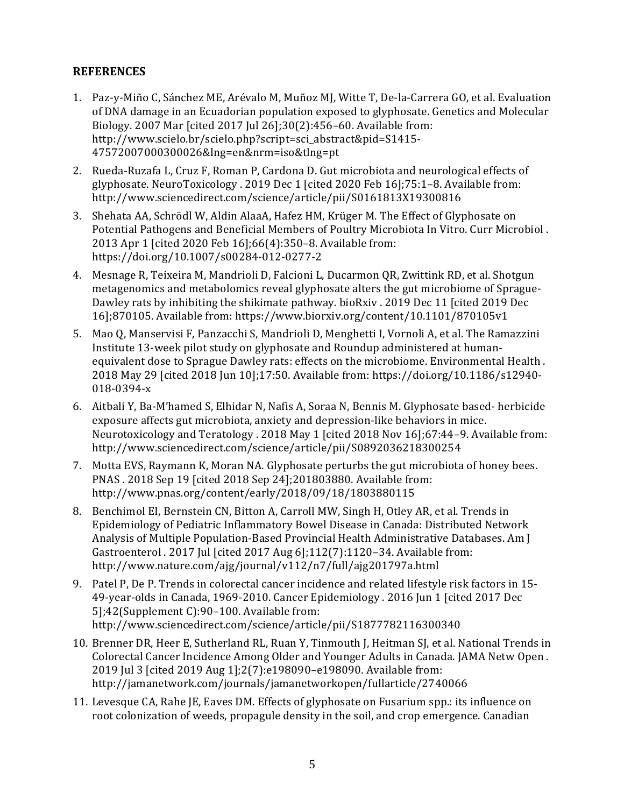#### **REFERENCES**

- 1. Paz-y-Miño C, Sánchez ME, Arévalo M, Muñoz MJ, Witte T, De-la-Carrera GO, et al. Evaluation of DNA damage in an Ecuadorian population exposed to glyphosate. Genetics and Molecular Biology. 2007 Mar [cited  $2017$  Jul  $26$ ];30(2):456–60. Available from: http://www.scielo.br/scielo.php?script=sci\_abstract&pid=S1415- 47572007000300026&lng=en&nrm=iso&tlng=pt
- 2. Rueda-Ruzafa L, Cruz F, Roman P, Cardona D. Gut microbiota and neurological effects of glyphosate. NeuroToxicology . 2019 Dec 1 [cited 2020 Feb 16];75:1-8. Available from: http://www.sciencedirect.com/science/article/pii/S0161813X19300816
- 3. Shehata AA, Schrödl W, Aldin AlaaA, Hafez HM, Krüger M. The Effect of Glyphosate on Potential Pathogens and Beneficial Members of Poultry Microbiota In Vitro. Curr Microbiol. 2013 Apr 1 [cited 2020 Feb 16];66(4):350-8. Available from: https://doi.org/10.1007/s00284-012-0277-2
- 4. Mesnage R, Teixeira M, Mandrioli D, Falcioni L, Ducarmon QR, Zwittink RD, et al. Shotgun metagenomics and metabolomics reveal glyphosate alters the gut microbiome of Sprague-Dawley rats by inhibiting the shikimate pathway. bioRxiv. 2019 Dec 11 [cited 2019 Dec 16];870105. Available from: https://www.biorxiv.org/content/10.1101/870105v1
- 5. Mao Q, Manservisi F, Panzacchi S, Mandrioli D, Menghetti I, Vornoli A, et al. The Ramazzini Institute 13-week pilot study on glyphosate and Roundup administered at humanequivalent dose to Sprague Dawley rats: effects on the microbiome. Environmental Health. 2018 May 29 [cited 2018 Jun 10];17:50. Available from: https://doi.org/10.1186/s12940-018-0394-x
- 6. Aitbali Y, Ba-M'hamed S, Elhidar N, Nafis A, Soraa N, Bennis M. Glyphosate based- herbicide exposure affects gut microbiota, anxiety and depression-like behaviors in mice. Neurotoxicology and Teratology . 2018 May 1 [cited 2018 Nov 16];67:44–9. Available from: http://www.sciencedirect.com/science/article/pii/S0892036218300254
- 7. Motta EVS, Raymann K, Moran NA. Glyphosate perturbs the gut microbiota of honey bees. PNAS . 2018 Sep 19 [cited 2018 Sep 24];201803880. Available from: http://www.pnas.org/content/early/2018/09/18/1803880115
- 8. Benchimol EI, Bernstein CN, Bitton A, Carroll MW, Singh H, Otley AR, et al. Trends in Epidemiology of Pediatric Inflammatory Bowel Disease in Canada: Distributed Network Analysis of Multiple Population-Based Provincial Health Administrative Databases. Am J Gastroenterol . 2017 Jul [cited 2017 Aug 6];112(7):1120-34. Available from: http://www.nature.com/ajg/journal/v112/n7/full/ajg201797a.html
- 9. Patel P, De P. Trends in colorectal cancer incidence and related lifestyle risk factors in 15-49-year-olds in Canada, 1969-2010. Cancer Epidemiology . 2016 Jun 1 [cited 2017 Dec 5];42(Supplement C):90-100. Available from: http://www.sciencedirect.com/science/article/pii/S1877782116300340
- 10. Brenner DR, Heer E, Sutherland RL, Ruan Y, Tinmouth J, Heitman SJ, et al. National Trends in Colorectal Cancer Incidence Among Older and Younger Adults in Canada. JAMA Netw Open. 2019 Jul 3 [cited 2019 Aug 1];2(7):e198090-e198090. Available from: http://jamanetwork.com/journals/jamanetworkopen/fullarticle/2740066
- 11. Levesque CA, Rahe JE, Eaves DM. Effects of glyphosate on Fusarium spp.: its influence on root colonization of weeds, propagule density in the soil, and crop emergence. Canadian